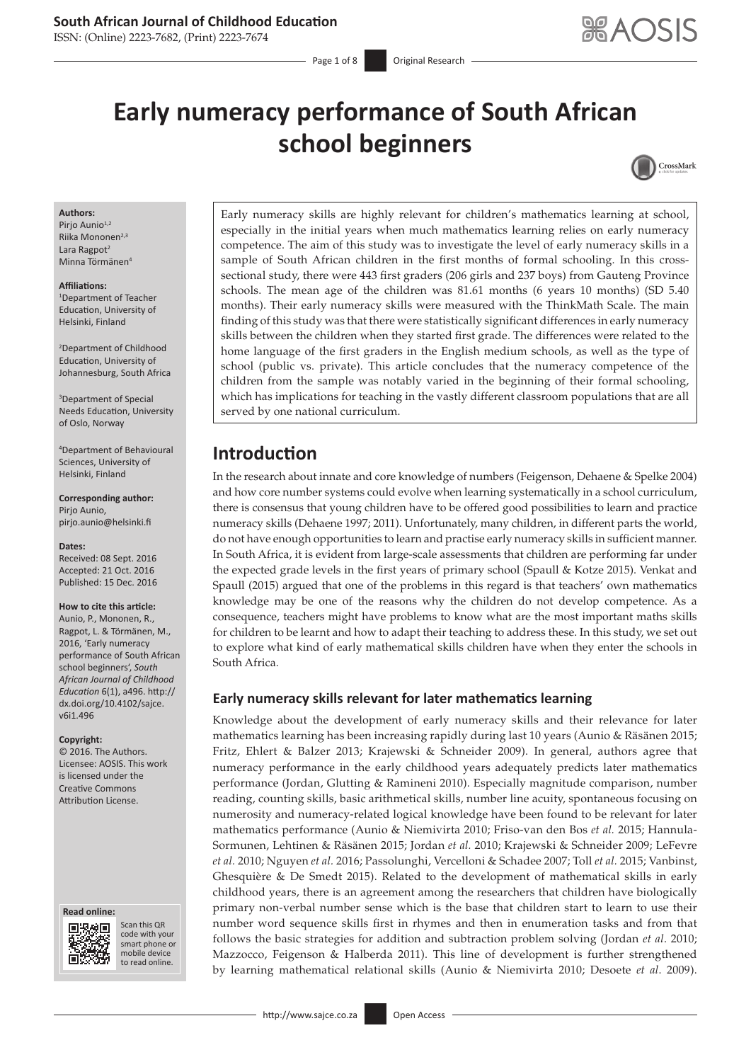## **South African Journal of Childhood Education**

ISSN: (Online) 2223-7682, (Print) 2223-7674

Page 1 of 8 **Original Research** 

# **Early numeracy performance of South African school beginners**



#### **Authors:**

Pirjo Aunio<sup>1,2</sup> Riika Mononen<sup>2,3</sup> Lara Ragpot<sup>2</sup> Minna Törmänen<sup>4</sup>

#### **Affiliations:**

1 Department of Teacher Education, University of Helsinki, Finland

2 Department of Childhood Education, University of Johannesburg, South Africa

3 Department of Special Needs Education, University of Oslo, Norway

4 Department of Behavioural Sciences, University of Helsinki, Finland

**Corresponding author:** Pirjo Aunio, [pirjo.aunio@helsinki.fi](mailto:pirjo.aunio@helsinki.fi)

#### **Dates:**

Received: 08 Sept. 2016 Accepted: 21 Oct. 2016 Published: 15 Dec. 2016

#### **How to cite this article:**

Aunio, P., Mononen, R., Ragpot, L. & Törmänen, M., 2016, 'Early numeracy performance of South African school beginners', *South African Journal of Childhood Education* 6(1), a496. [http://](http://dx.doi.org/10.4102/sajce.v6i1.496) [dx.doi.org/10.4102/sajce.](http://dx.doi.org/10.4102/sajce.v6i1.496) [v6i1.496](http://dx.doi.org/10.4102/sajce.v6i1.496)

#### **Copyright:**

© 2016. The Authors. Licensee: AOSIS. This work is licensed under the Creative Commons Attribution License.

#### **Read online: Read**



Scan this QR code with your Scan this QR<br>code with your<br>smart phone or<br>mobile device mobile device to read online. to read online.

Early numeracy skills are highly relevant for children's mathematics learning at school, especially in the initial years when much mathematics learning relies on early numeracy competence. The aim of this study was to investigate the level of early numeracy skills in a sample of South African children in the first months of formal schooling. In this crosssectional study, there were 443 first graders (206 girls and 237 boys) from Gauteng Province schools. The mean age of the children was 81.61 months (6 years 10 months) (SD 5.40 months). Their early numeracy skills were measured with the ThinkMath Scale. The main finding of this study was that there were statistically significant differences in early numeracy skills between the children when they started first grade. The differences were related to the home language of the first graders in the English medium schools, as well as the type of school (public vs. private). This article concludes that the numeracy competence of the children from the sample was notably varied in the beginning of their formal schooling, which has implications for teaching in the vastly different classroom populations that are all served by one national curriculum.

# **Introduction**

In the research about innate and core knowledge of numbers (Feigenson, Dehaene & Spelke 2004) and how core number systems could evolve when learning systematically in a school curriculum, there is consensus that young children have to be offered good possibilities to learn and practice numeracy skills (Dehaene 1997; 2011). Unfortunately, many children, in different parts the world, do not have enough opportunities to learn and practise early numeracy skills in sufficient manner. In South Africa, it is evident from large-scale assessments that children are performing far under the expected grade levels in the first years of primary school (Spaull & Kotze 2015). Venkat and Spaull (2015) argued that one of the problems in this regard is that teachers' own mathematics knowledge may be one of the reasons why the children do not develop competence. As a consequence, teachers might have problems to know what are the most important maths skills for children to be learnt and how to adapt their teaching to address these. In this study, we set out to explore what kind of early mathematical skills children have when they enter the schools in South Africa.

### **Early numeracy skills relevant for later mathematics learning**

Knowledge about the development of early numeracy skills and their relevance for later mathematics learning has been increasing rapidly during last 10 years (Aunio & Räsänen 2015; Fritz, Ehlert & Balzer 2013; Krajewski & Schneider 2009). In general, authors agree that numeracy performance in the early childhood years adequately predicts later mathematics performance (Jordan, Glutting & Ramineni 2010). Especially magnitude comparison, number reading, counting skills, basic arithmetical skills, number line acuity, spontaneous focusing on numerosity and numeracy-related logical knowledge have been found to be relevant for later mathematics performance (Aunio & Niemivirta 2010; Friso-van den Bos *et al.* 2015; Hannula-Sormunen, Lehtinen & Räsänen 2015; Jordan *et al.* 2010; Krajewski & Schneider 2009; LeFevre *et al.* 2010; Nguyen *et al.* 2016; Passolunghi, Vercelloni & Schadee 2007; Toll *et al.* 2015; Vanbinst, Ghesquière & De Smedt 2015). Related to the development of mathematical skills in early childhood years, there is an agreement among the researchers that children have biologically primary non-verbal number sense which is the base that children start to learn to use their number word sequence skills first in rhymes and then in enumeration tasks and from that follows the basic strategies for addition and subtraction problem solving (Jordan *et al*. 2010; Mazzocco, Feigenson & Halberda 2011). This line of development is further strengthened by learning mathematical relational skills (Aunio & Niemivirta 2010; Desoete *et al*. 2009).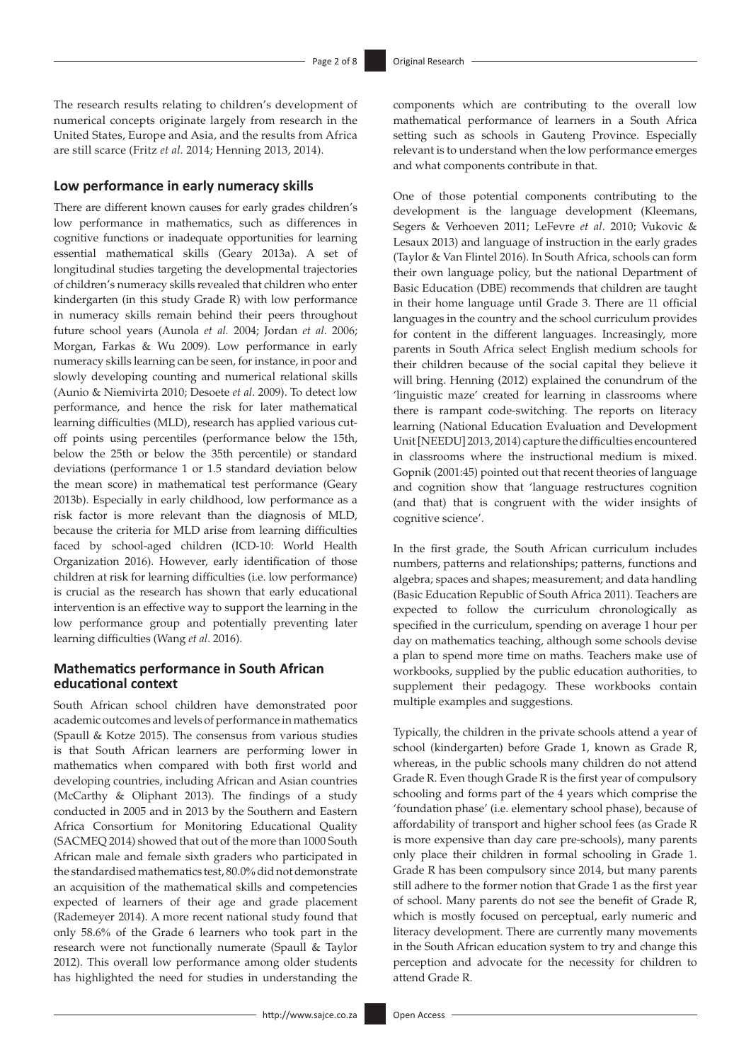The research results relating to children's development of numerical concepts originate largely from research in the United States, Europe and Asia, and the results from Africa are still scarce (Fritz *et al.* 2014; Henning 2013, 2014).

#### **Low performance in early numeracy skills**

There are different known causes for early grades children's low performance in mathematics, such as differences in cognitive functions or inadequate opportunities for learning essential mathematical skills (Geary 2013a). A set of longitudinal studies targeting the developmental trajectories of children's numeracy skills revealed that children who enter kindergarten (in this study Grade R) with low performance in numeracy skills remain behind their peers throughout future school years (Aunola *et al.* 2004; Jordan *et al*. 2006; Morgan, Farkas & Wu 2009). Low performance in early numeracy skills learning can be seen, for instance, in poor and slowly developing counting and numerical relational skills (Aunio & Niemivirta 2010; Desoete *et al*. 2009). To detect low performance, and hence the risk for later mathematical learning difficulties (MLD), research has applied various cutoff points using percentiles (performance below the 15th, below the 25th or below the 35th percentile) or standard deviations (performance 1 or 1.5 standard deviation below the mean score) in mathematical test performance (Geary 2013b). Especially in early childhood, low performance as a risk factor is more relevant than the diagnosis of MLD, because the criteria for MLD arise from learning difficulties faced by school-aged children (ICD-10: World Health Organization 2016). However, early identification of those children at risk for learning difficulties (i.e. low performance) is crucial as the research has shown that early educational intervention is an effective way to support the learning in the low performance group and potentially preventing later learning difficulties (Wang *et al*. 2016).

#### **Mathematics performance in South African educational context**

South African school children have demonstrated poor academic outcomes and levels of performance in mathematics (Spaull & Kotze 2015). The consensus from various studies is that South African learners are performing lower in mathematics when compared with both first world and developing countries, including African and Asian countries (McCarthy & Oliphant 2013). The findings of a study conducted in 2005 and in 2013 by the Southern and Eastern Africa Consortium for Monitoring Educational Quality (SACMEQ 2014) showed that out of the more than 1000 South African male and female sixth graders who participated in the standardised mathematics test, 80.0% did not demonstrate an acquisition of the mathematical skills and competencies expected of learners of their age and grade placement (Rademeyer 2014). A more recent national study found that only 58.6% of the Grade 6 learners who took part in the research were not functionally numerate (Spaull & Taylor 2012). This overall low performance among older students has highlighted the need for studies in understanding the

components which are contributing to the overall low mathematical performance of learners in a South Africa setting such as schools in Gauteng Province. Especially relevant is to understand when the low performance emerges and what components contribute in that.

One of those potential components contributing to the development is the language development (Kleemans, Segers & Verhoeven 2011; LeFevre *et al*. 2010; Vukovic & Lesaux 2013) and language of instruction in the early grades (Taylor & Van Flintel 2016). In South Africa, schools can form their own language policy, but the national Department of Basic Education (DBE) recommends that children are taught in their home language until Grade 3. There are 11 official languages in the country and the school curriculum provides for content in the different languages. Increasingly, more parents in South Africa select English medium schools for their children because of the social capital they believe it will bring. Henning (2012) explained the conundrum of the 'linguistic maze' created for learning in classrooms where there is rampant code-switching. The reports on literacy learning (National Education Evaluation and Development Unit [NEEDU] 2013, 2014) capture the difficulties encountered in classrooms where the instructional medium is mixed. Gopnik (2001:45) pointed out that recent theories of language and cognition show that 'language restructures cognition (and that) that is congruent with the wider insights of cognitive science'.

In the first grade, the South African curriculum includes numbers, patterns and relationships; patterns, functions and algebra; spaces and shapes; measurement; and data handling (Basic Education Republic of South Africa 2011). Teachers are expected to follow the curriculum chronologically as specified in the curriculum, spending on average 1 hour per day on mathematics teaching, although some schools devise a plan to spend more time on maths. Teachers make use of workbooks, supplied by the public education authorities, to supplement their pedagogy. These workbooks contain multiple examples and suggestions.

Typically, the children in the private schools attend a year of school (kindergarten) before Grade 1, known as Grade R, whereas, in the public schools many children do not attend Grade R. Even though Grade R is the first year of compulsory schooling and forms part of the 4 years which comprise the 'foundation phase' (i.e. elementary school phase), because of affordability of transport and higher school fees (as Grade R is more expensive than day care pre-schools), many parents only place their children in formal schooling in Grade 1. Grade R has been compulsory since 2014, but many parents still adhere to the former notion that Grade 1 as the first year of school. Many parents do not see the benefit of Grade R, which is mostly focused on perceptual, early numeric and literacy development. There are currently many movements in the South African education system to try and change this perception and advocate for the necessity for children to attend Grade R.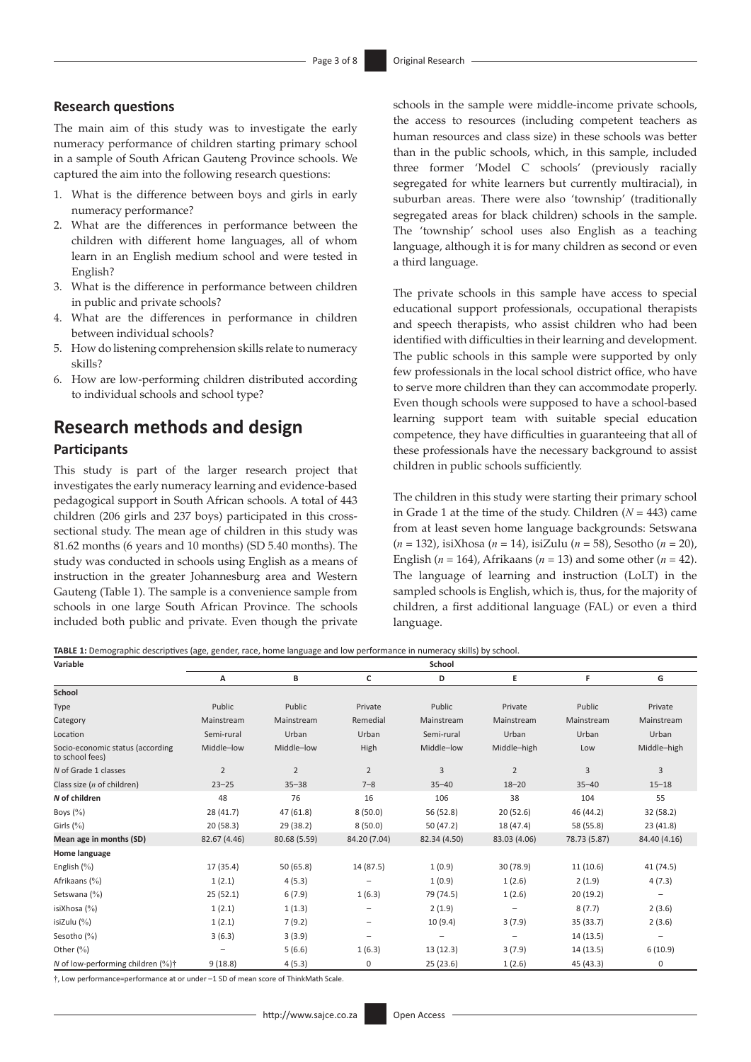#### **Research questions**

The main aim of this study was to investigate the early numeracy performance of children starting primary school in a sample of South African Gauteng Province schools. We captured the aim into the following research questions:

- 1. What is the difference between boys and girls in early numeracy performance?
- 2. What are the differences in performance between the children with different home languages, all of whom learn in an English medium school and were tested in English?
- 3. What is the difference in performance between children in public and private schools?
- 4. What are the differences in performance in children between individual schools?
- 5. How do listening comprehension skills relate to numeracy skills?
- 6. How are low-performing children distributed according to individual schools and school type?

# **Research methods and design Participants**

This study is part of the larger research project that investigates the early numeracy learning and evidence-based pedagogical support in South African schools. A total of 443 children (206 girls and 237 boys) participated in this crosssectional study. The mean age of children in this study was 81.62 months (6 years and 10 months) (SD 5.40 months). The study was conducted in schools using English as a means of instruction in the greater Johannesburg area and Western Gauteng (Table 1). The sample is a convenience sample from schools in one large South African Province. The schools included both public and private. Even though the private schools in the sample were middle-income private schools, the access to resources (including competent teachers as human resources and class size) in these schools was better than in the public schools, which, in this sample, included three former 'Model C schools' (previously racially segregated for white learners but currently multiracial), in suburban areas. There were also 'township' (traditionally segregated areas for black children) schools in the sample. The 'township' school uses also English as a teaching language, although it is for many children as second or even a third language.

The private schools in this sample have access to special educational support professionals, occupational therapists and speech therapists, who assist children who had been identified with difficulties in their learning and development. The public schools in this sample were supported by only few professionals in the local school district office, who have to serve more children than they can accommodate properly. Even though schools were supposed to have a school-based learning support team with suitable special education competence, they have difficulties in guaranteeing that all of these professionals have the necessary background to assist children in public schools sufficiently.

The children in this study were starting their primary school in Grade 1 at the time of the study. Children (*N* = 443) came from at least seven home language backgrounds: Setswana (*n* = 132), isiXhosa (*n* = 14), isiZulu (*n* = 58), Sesotho (*n* = 20), English ( $n = 164$ ), Afrikaans ( $n = 13$ ) and some other ( $n = 42$ ). The language of learning and instruction (LoLT) in the sampled schools is English, which is, thus, for the majority of children, a first additional language (FAL) or even a third language.

**TABLE 1:** Demographic descriptives (age, gender, race, home language and low performance in numeracy skills) by school.

| Variable                                            | School         |                |                   |              |                   |              |              |  |
|-----------------------------------------------------|----------------|----------------|-------------------|--------------|-------------------|--------------|--------------|--|
|                                                     | А              | В              | c                 | D            | Ε                 | F            | G            |  |
| <b>School</b>                                       |                |                |                   |              |                   |              |              |  |
| Type                                                | Public         | Public         | Private           | Public       | Private           | Public       | Private      |  |
| Category                                            | Mainstream     | Mainstream     | Remedial          | Mainstream   | Mainstream        | Mainstream   | Mainstream   |  |
| Location                                            | Semi-rural     | Urban          | Urban             | Semi-rural   | Urban             | Urban        | Urban        |  |
| Socio-economic status (according<br>to school fees) | Middle-low     | Middle-low     | High              | Middle-low   | Middle-high       | Low          | Middle-high  |  |
| N of Grade 1 classes                                | $\overline{2}$ | $\overline{2}$ | $\overline{2}$    | 3            | 2                 | 3            | 3            |  |
| Class size ( $n$ of children)                       | $23 - 25$      | $35 - 38$      | $7 - 8$           | $35 - 40$    | $18 - 20$         | $35 - 40$    | $15 - 18$    |  |
| N of children                                       | 48             | 76             | 16                | 106          | 38                | 104          | 55           |  |
| Boys $(\%)$                                         | 28 (41.7)      | 47 (61.8)      | 8(50.0)           | 56 (52.8)    | 20(52.6)          | 46 (44.2)    | 32 (58.2)    |  |
| Girls $(\%)$                                        | 20(58.3)       | 29 (38.2)      | 8(50.0)           | 50 (47.2)    | 18 (47.4)         | 58 (55.8)    | 23(41.8)     |  |
| Mean age in months (SD)                             | 82.67 (4.46)   | 80.68 (5.59)   | 84.20 (7.04)      | 82.34 (4.50) | 83.03 (4.06)      | 78.73 (5.87) | 84.40 (4.16) |  |
| Home language                                       |                |                |                   |              |                   |              |              |  |
| English $(\%)$                                      | 17 (35.4)      | 50 (65.8)      | 14 (87.5)         | 1(0.9)       | 30 (78.9)         | 11(10.6)     | 41 (74.5)    |  |
| Afrikaans (%)                                       | 1(2.1)         | 4(5.3)         |                   | 1(0.9)       | 1(2.6)            | 2(1.9)       | 4(7.3)       |  |
| Setswana (%)                                        | 25(52.1)       | 6(7.9)         | 1(6.3)            | 79 (74.5)    | 1(2.6)            | 20 (19.2)    | -            |  |
| isiXhosa $\left(\frac{9}{6}\right)$                 | 1(2.1)         | 1(1.3)         | $\qquad \qquad -$ | 2(1.9)       | $\qquad \qquad -$ | 8(7.7)       | 2(3.6)       |  |
| isiZulu (%)                                         | 1(2.1)         | 7(9.2)         | -                 | 10(9.4)      | 3(7.9)            | 35 (33.7)    | 2(3.6)       |  |
| Sesotho (%)                                         | 3(6.3)         | 3(3.9)         | -                 | -            | -                 | 14 (13.5)    | -            |  |
| Other $(\% )$                                       | -              | 5(6.6)         | 1(6.3)            | 13(12.3)     | 3(7.9)            | 14 (13.5)    | 6(10.9)      |  |
| N of low-performing children $(\%)^{\dagger}$       | 9(18.8)        | 4(5.3)         | $\mathbf 0$       | 25(23.6)     | 1(2.6)            | 45 (43.3)    | 0            |  |

†, Low performance=performance at or under –1 SD of mean score of ThinkMath Scale.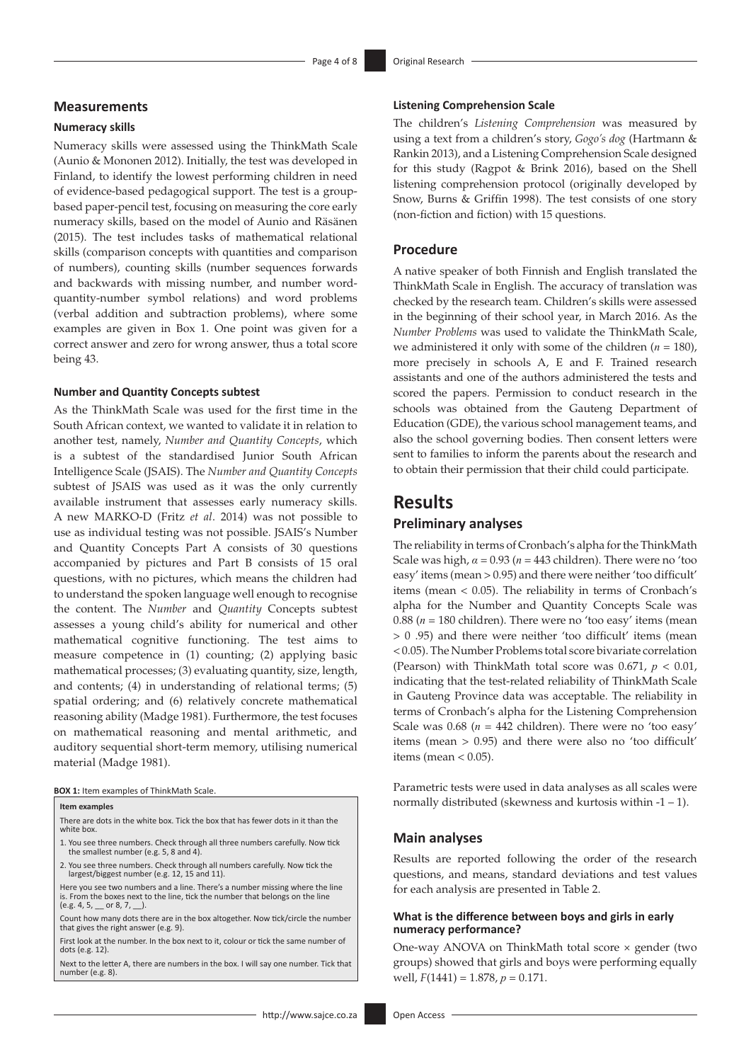#### **Measurements**

#### **Numeracy skills**

Numeracy skills were assessed using the ThinkMath Scale (Aunio & Mononen 2012). Initially, the test was developed in Finland, to identify the lowest performing children in need of evidence-based pedagogical support. The test is a groupbased paper-pencil test, focusing on measuring the core early numeracy skills, based on the model of Aunio and Räsänen (2015). The test includes tasks of mathematical relational skills (comparison concepts with quantities and comparison of numbers), counting skills (number sequences forwards and backwards with missing number, and number wordquantity-number symbol relations) and word problems (verbal addition and subtraction problems), where some examples are given in Box 1. One point was given for a correct answer and zero for wrong answer, thus a total score being 43.

#### **Number and Quantity Concepts subtest**

As the ThinkMath Scale was used for the first time in the South African context, we wanted to validate it in relation to another test, namely, *Number and Quantity Concepts*, which is a subtest of the standardised Junior South African Intelligence Scale (JSAIS). The *Number and Quantity Concepts* subtest of JSAIS was used as it was the only currently available instrument that assesses early numeracy skills. A new MARKO-D (Fritz *et al*. 2014) was not possible to use as individual testing was not possible. JSAIS's Number and Quantity Concepts Part A consists of 30 questions accompanied by pictures and Part B consists of 15 oral questions, with no pictures, which means the children had to understand the spoken language well enough to recognise the content. The *Number* and *Quantity* Concepts subtest assesses a young child's ability for numerical and other mathematical cognitive functioning. The test aims to measure competence in (1) counting; (2) applying basic mathematical processes; (3) evaluating quantity, size, length, and contents; (4) in understanding of relational terms; (5) spatial ordering; and (6) relatively concrete mathematical reasoning ability (Madge 1981). Furthermore, the test focuses on mathematical reasoning and mental arithmetic, and auditory sequential short-term memory, utilising numerical material (Madge 1981).

**BOX 1:** Item examples of ThinkMath Scale.

#### **Item examples**

There are dots in the white box. Tick the box that has fewer dots in it than the white box.

- 1. You see three numbers. Check through all three numbers carefully. Now tick the smallest number (e.g. 5, 8 and 4).
- 2. You see three numbers. Check through all numbers carefully. Now tick the largest/biggest number (e.g. 12, 15 and 11).

Here you see two numbers and a line. There's a number missing where the line is. From the boxes next to the line, tick the number that belongs on the line  $(e.g. 4, 5, or 8, 7, )$ 

Count how many dots there are in the box altogether. Now tick/circle the number that gives the right answer (e.g. 9).

First look at the number. In the box next to it, colour or tick the same number of dots (e.g. 12).

Next to the letter A, there are numbers in the box. I will say one number. Tick that number (e.g. 8).

#### (non-fiction and fiction) with 15 questions.

**Listening Comprehension Scale**

#### **Procedure**

A native speaker of both Finnish and English translated the ThinkMath Scale in English. The accuracy of translation was checked by the research team. Children's skills were assessed in the beginning of their school year, in March 2016. As the *Number Problems* was used to validate the ThinkMath Scale, we administered it only with some of the children (*n* = 180), more precisely in schools A, E and F. Trained research assistants and one of the authors administered the tests and scored the papers. Permission to conduct research in the schools was obtained from the Gauteng Department of Education (GDE), the various school management teams, and also the school governing bodies. Then consent letters were sent to families to inform the parents about the research and to obtain their permission that their child could participate.

The children's *Listening Comprehension* was measured by using a text from a children's story, *Gogo's dog* (Hartmann & Rankin 2013), and a Listening Comprehension Scale designed for this study (Ragpot & Brink 2016), based on the Shell listening comprehension protocol (originally developed by Snow, Burns & Griffin 1998). The test consists of one story

#### **Results**

#### **Preliminary analyses**

The reliability in terms of Cronbach's alpha for the ThinkMath Scale was high,  $\alpha$  = 0.93 ( $n$  = 443 children). There were no 'too easy' items (mean > 0.95) and there were neither 'too difficult' items (mean < 0.05). The reliability in terms of Cronbach's alpha for the Number and Quantity Concepts Scale was 0.88 (*n* = 180 children). There were no 'too easy' items (mean > 0 .95) and there were neither 'too difficult' items (mean < 0.05). The Number Problems total score bivariate correlation (Pearson) with ThinkMath total score was 0.671, *p* < 0.01, indicating that the test-related reliability of ThinkMath Scale in Gauteng Province data was acceptable. The reliability in terms of Cronbach's alpha for the Listening Comprehension Scale was  $0.68$  ( $n = 442$  children). There were no 'too easy' items (mean > 0.95) and there were also no 'too difficult' items (mean  $< 0.05$ ).

Parametric tests were used in data analyses as all scales were normally distributed (skewness and kurtosis within -1 – 1).

#### **Main analyses**

Results are reported following the order of the research questions, and means, standard deviations and test values for each analysis are presented in Table 2.

#### **What is the difference between boys and girls in early numeracy performance?**

One-way ANOVA on ThinkMath total score × gender (two groups) showed that girls and boys were performing equally well, *F*(1441) = 1.878, *p* = 0.171.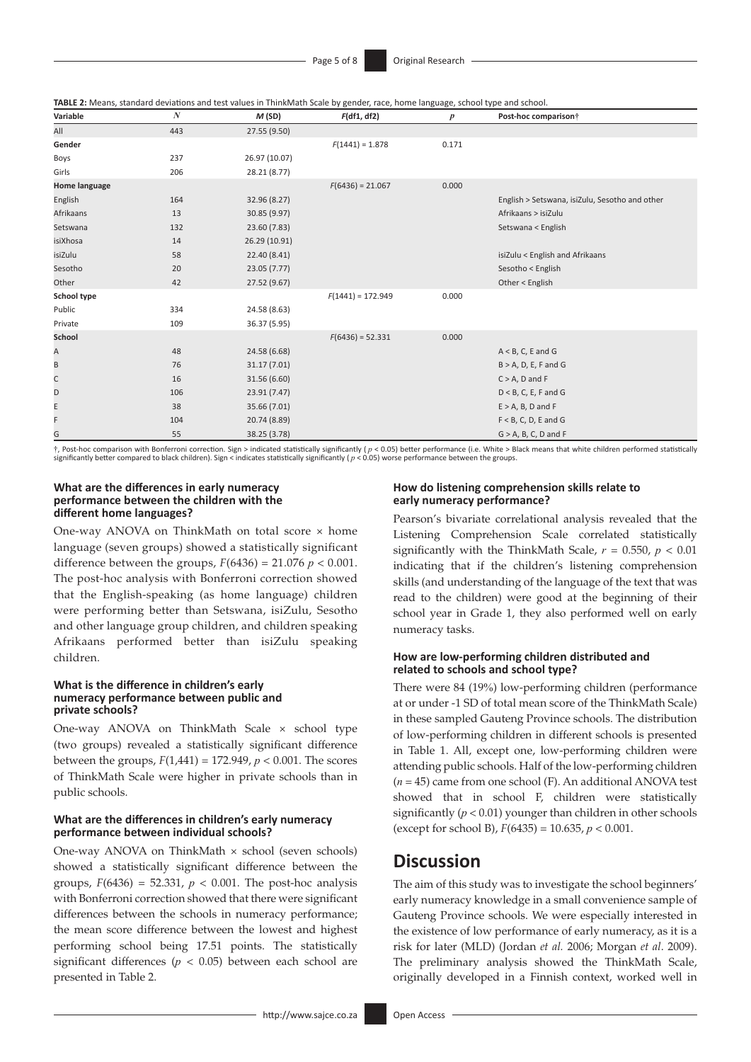**TABLE 2:** Means, standard deviations and test values in ThinkMath Scale by gender, race, home language, school type and school.

| Variable      | $\boldsymbol{N}$ | M(SD)         | F(df1, df2)         | $\boldsymbol{p}$ | Post-hoc comparison†                           |
|---------------|------------------|---------------|---------------------|------------------|------------------------------------------------|
| All           | 443              | 27.55 (9.50)  |                     |                  |                                                |
| Gender        |                  |               | $F(1441) = 1.878$   | 0.171            |                                                |
| Boys          | 237              | 26.97 (10.07) |                     |                  |                                                |
| Girls         | 206              | 28.21 (8.77)  |                     |                  |                                                |
| Home language |                  |               | $F(6436) = 21.067$  | 0.000            |                                                |
| English       | 164              | 32.96 (8.27)  |                     |                  | English > Setswana, isiZulu, Sesotho and other |
| Afrikaans     | 13               | 30.85 (9.97)  |                     |                  | Afrikaans > isiZulu                            |
| Setswana      | 132              | 23.60 (7.83)  |                     |                  | Setswana < English                             |
| isiXhosa      | 14               | 26.29 (10.91) |                     |                  |                                                |
| isiZulu       | 58               | 22.40 (8.41)  |                     |                  | isiZulu < English and Afrikaans                |
| Sesotho       | 20               | 23.05 (7.77)  |                     |                  | Sesotho < English                              |
| Other         | 42               | 27.52 (9.67)  |                     |                  | Other < English                                |
| School type   |                  |               | $F(1441) = 172.949$ | 0.000            |                                                |
| Public        | 334              | 24.58 (8.63)  |                     |                  |                                                |
| Private       | 109              | 36.37 (5.95)  |                     |                  |                                                |
| School        |                  |               | $F(6436) = 52.331$  | 0.000            |                                                |
| Α             | 48               | 24.58 (6.68)  |                     |                  | $A < B$ , C, E and G                           |
| B             | 76               | 31.17 (7.01)  |                     |                  | $B > A$ , D, E, F and G                        |
| С             | 16               | 31.56 (6.60)  |                     |                  | $C > A$ , D and F                              |
| D             | 106              | 23.91 (7.47)  |                     |                  | $D < B$ , C, E, F and G                        |
| E             | 38               | 35.66 (7.01)  |                     |                  | $E > A$ , B, D and F                           |
| F             | 104              | 20.74 (8.89)  |                     |                  | $F < B$ , C, D, E and G                        |
| G             | 55               | 38.25 (3.78)  |                     |                  | $G > A$ , B, C, D and F                        |

†, Post-hoc comparison with Bonferroni correction. Sign > indicated statistically significantly (p < 0.05) better performance (i.e. White > Black means that white children performed statistically<br>significantly better compa

#### **What are the differences in early numeracy performance between the children with the different home languages?**

One-way ANOVA on ThinkMath on total score × home language (seven groups) showed a statistically significant difference between the groups,  $F(6436) = 21.076$   $p < 0.001$ . The post-hoc analysis with Bonferroni correction showed that the English-speaking (as home language) children were performing better than Setswana, isiZulu, Sesotho and other language group children, and children speaking Afrikaans performed better than isiZulu speaking children.

#### **What is the difference in children's early numeracy performance between public and private schools?**

One-way ANOVA on ThinkMath Scale × school type (two groups) revealed a statistically significant difference between the groups, *F*(1,441) = 172.949, *p* < 0.001. The scores of ThinkMath Scale were higher in private schools than in public schools.

#### **What are the differences in children's early numeracy performance between individual schools?**

One-way ANOVA on ThinkMath × school (seven schools) showed a statistically significant difference between the groups,  $F(6436) = 52.331$ ,  $p < 0.001$ . The post-hoc analysis with Bonferroni correction showed that there were significant differences between the schools in numeracy performance; the mean score difference between the lowest and highest performing school being 17.51 points. The statistically significant differences ( $p < 0.05$ ) between each school are presented in Table 2.

#### **How do listening comprehension skills relate to early numeracy performance?**

Pearson's bivariate correlational analysis revealed that the Listening Comprehension Scale correlated statistically significantly with the ThinkMath Scale,  $r = 0.550$ ,  $p < 0.01$ indicating that if the children's listening comprehension skills (and understanding of the language of the text that was read to the children) were good at the beginning of their school year in Grade 1, they also performed well on early numeracy tasks.

#### **How are low-performing children distributed and related to schools and school type?**

There were 84 (19%) low-performing children (performance at or under -1 SD of total mean score of the ThinkMath Scale) in these sampled Gauteng Province schools. The distribution of low-performing children in different schools is presented in Table 1. All, except one, low-performing children were attending public schools. Half of the low-performing children (*n* = 45) came from one school (F). An additional ANOVA test showed that in school F, children were statistically significantly  $(p < 0.01)$  younger than children in other schools (except for school B), *F*(6435) = 10.635, *p* < 0.001.

# **Discussion**

The aim of this study was to investigate the school beginners' early numeracy knowledge in a small convenience sample of Gauteng Province schools. We were especially interested in the existence of low performance of early numeracy, as it is a risk for later (MLD) (Jordan *et al.* 2006; Morgan *et al*. 2009). The preliminary analysis showed the ThinkMath Scale, originally developed in a Finnish context, worked well in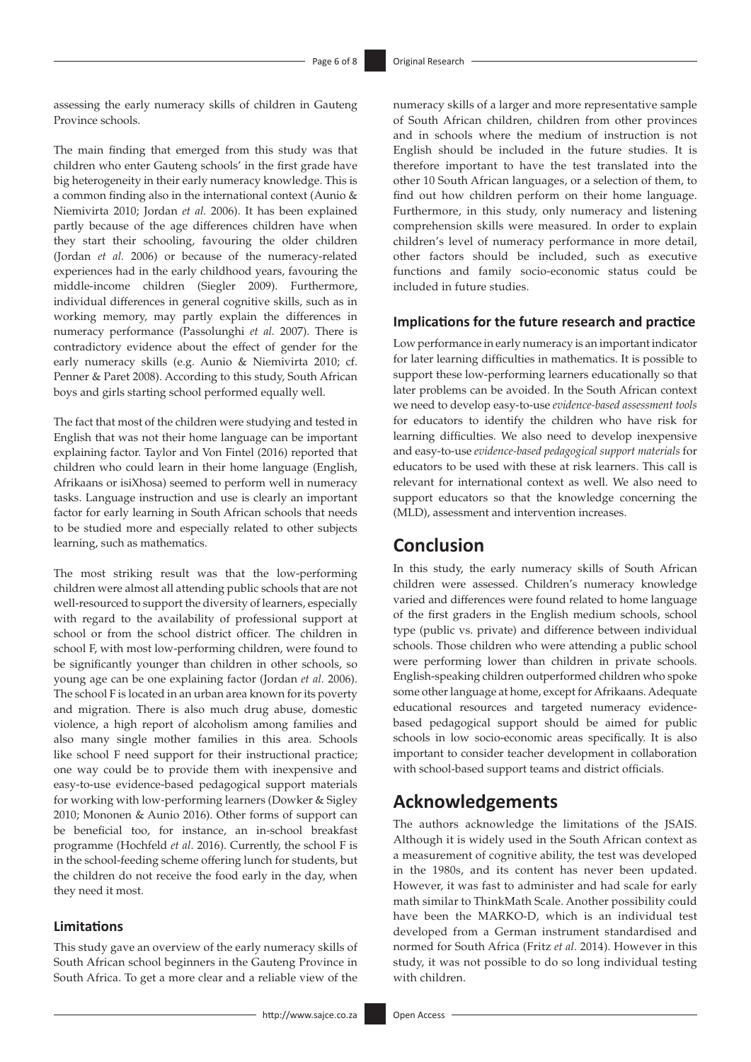assessing the early numeracy skills of children in Gauteng Province schools.

The main finding that emerged from this study was that children who enter Gauteng schools' in the first grade have big heterogeneity in their early numeracy knowledge. This is a common finding also in the international context (Aunio & Niemivirta 2010; Jordan *et al.* 2006). It has been explained partly because of the age differences children have when they start their schooling, favouring the older children (Jordan *et al.* 2006) or because of the numeracy-related experiences had in the early childhood years, favouring the middle-income children (Siegler 2009). Furthermore, individual differences in general cognitive skills, such as in working memory, may partly explain the differences in numeracy performance (Passolunghi *et al.* 2007). There is contradictory evidence about the effect of gender for the early numeracy skills (e.g. Aunio & Niemivirta 2010; cf. Penner & Paret 2008). According to this study, South African boys and girls starting school performed equally well.

The fact that most of the children were studying and tested in English that was not their home language can be important explaining factor. Taylor and Von Fintel (2016) reported that children who could learn in their home language (English, Afrikaans or isiXhosa) seemed to perform well in numeracy tasks. Language instruction and use is clearly an important factor for early learning in South African schools that needs to be studied more and especially related to other subjects learning, such as mathematics.

The most striking result was that the low-performing children were almost all attending public schools that are not well-resourced to support the diversity of learners, especially with regard to the availability of professional support at school or from the school district officer. The children in school F, with most low-performing children, were found to be significantly younger than children in other schools, so young age can be one explaining factor (Jordan *et al.* 2006). The school F is located in an urban area known for its poverty and migration. There is also much drug abuse, domestic violence, a high report of alcoholism among families and also many single mother families in this area. Schools like school F need support for their instructional practice; one way could be to provide them with inexpensive and easy-to-use evidence-based pedagogical support materials for working with low-performing learners (Dowker & Sigley 2010; Mononen & Aunio 2016). Other forms of support can be beneficial too, for instance, an in-school breakfast programme (Hochfeld *et al*. 2016). Currently, the school F is in the school-feeding scheme offering lunch for students, but the children do not receive the food early in the day, when they need it most.

#### **Limitations**

This study gave an overview of the early numeracy skills of South African school beginners in the Gauteng Province in South Africa. To get a more clear and a reliable view of the

numeracy skills of a larger and more representative sample of South African children, children from other provinces and in schools where the medium of instruction is not English should be included in the future studies. It is therefore important to have the test translated into the other 10 South African languages, or a selection of them, to find out how children perform on their home language. Furthermore, in this study, only numeracy and listening comprehension skills were measured. In order to explain children's level of numeracy performance in more detail, other factors should be included, such as executive functions and family socio-economic status could be included in future studies.

#### **Implications for the future research and practice**

Low performance in early numeracy is an important indicator for later learning difficulties in mathematics. It is possible to support these low-performing learners educationally so that later problems can be avoided. In the South African context we need to develop easy-to-use *evidence-based assessment tools* for educators to identify the children who have risk for learning difficulties. We also need to develop inexpensive and easy-to-use *evidence-based pedagogical support materials* for educators to be used with these at risk learners. This call is relevant for international context as well. We also need to support educators so that the knowledge concerning the (MLD), assessment and intervention increases.

# **Conclusion**

In this study, the early numeracy skills of South African children were assessed. Children's numeracy knowledge varied and differences were found related to home language of the first graders in the English medium schools, school type (public vs. private) and difference between individual schools. Those children who were attending a public school were performing lower than children in private schools. English-speaking children outperformed children who spoke some other language at home, except for Afrikaans. Adequate educational resources and targeted numeracy evidencebased pedagogical support should be aimed for public schools in low socio-economic areas specifically. It is also important to consider teacher development in collaboration with school-based support teams and district officials.

# **Acknowledgements**

The authors acknowledge the limitations of the JSAIS. Although it is widely used in the South African context as a measurement of cognitive ability, the test was developed in the 1980s, and its content has never been updated. However, it was fast to administer and had scale for early math similar to ThinkMath Scale. Another possibility could have been the MARKO-D, which is an individual test developed from a German instrument standardised and normed for South Africa (Fritz *et al.* 2014). However in this study, it was not possible to do so long individual testing with children.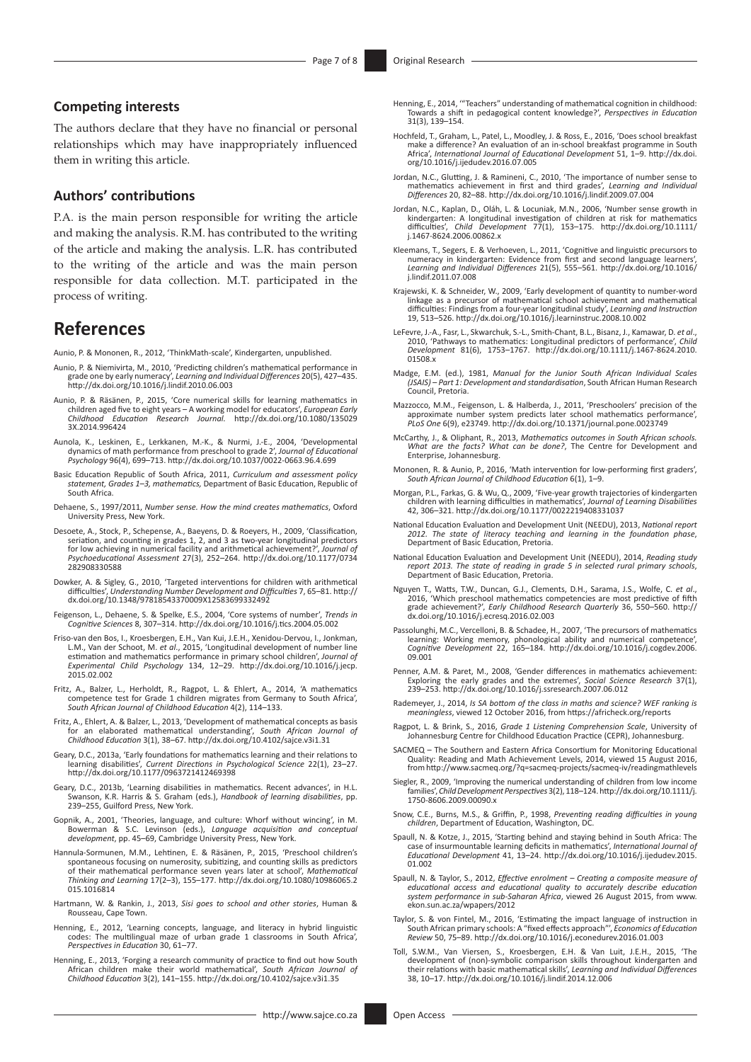#### **Competing interests**

The authors declare that they have no financial or personal relationships which may have inappropriately influenced them in writing this article.

#### **Authors' contributions**

P.A. is the main person responsible for writing the article and making the analysis. R.M. has contributed to the writing of the article and making the analysis. L.R. has contributed to the writing of the article and was the main person responsible for data collection. M.T. participated in the process of writing.

# **References**

- Aunio, P. & Mononen, R., 2012, 'ThinkMath-scale', Kindergarten, unpublished.
- Aunio, P. & Niemivirta, M., 2010, 'Predicting children's mathematical performance in grade one by early numeracy', *Learning and Individual Differences* 20(5), 427–435. <http://dx.doi.org/10.1016/j.lindif.2010.06.003>
- Aunio, P. & Räsänen, P., 2015, 'Core numerical skills for learning mathematics in children aged five to eight years – A working model for educators', *European Early Childhood Education Research Journal.* [http://dx.doi.org/10.1080/135029](http://dx.doi.org/10.1080/1350293X.2014.996424) [3X.2014.996424](http://dx.doi.org/10.1080/1350293X.2014.996424)
- Aunola, K., Leskinen, E., Lerkkanen, M.-K., & Nurmi, J.-E., 2004, 'Developmental dynamics of math performance from preschool to grade 2', *Journal of Educational Psychology* 96(4), 699–713.<http://dx.doi.org/10.1037/0022-0663.96.4.699>
- Basic Education Republic of South Africa, 2011, *Curriculum and assessment policy statement, Grades 1–3, mathematics,* Department of Basic Education, Republic of South Africa.
- Dehaene, S., 1997/2011, *Number sense. How the mind creates mathematics*, Oxford University Press, New York.
- Desoete, A., Stock, P., Schepense, A., Baeyens, D. & Roeyers, H., 2009, 'Classification, seriation, and counting in grades 1, 2, and 3 as two-year longitudinal predictors for low achieving in numerical facility and arithmetical achievement?', *Journal of Psychoeducational Assessment* 27(3), 252–264. [http://dx.doi.org/10.1177/0734](http://dx.doi.org/10.1177/0734282908330588) [282908330588](http://dx.doi.org/10.1177/0734282908330588)
- Dowker, A. & Sigley, G., 2010, 'Targeted interventions for children with arithmetical difficulties', *Understanding Number Development and Difficulties* 7, 65–81. [http://](http://dx.doi.org/10.1348/97818543370009X12583699332492) [dx.doi.org/10.1348/97818543370009X12583699332492](http://dx.doi.org/10.1348/97818543370009X12583699332492)
- Feigenson, L., Dehaene, S. & Spelke, E.S., 2004, 'Core systems of number', *Trends in Cognitive Sciences* 8, 307–314.<http://dx.doi.org/10.1016/j.tics.2004.05.002>
- Friso-van den Bos, I., Kroesbergen, E.H., Van Kui, J.E.H., Xenidou-Dervou, I., Jonkman, L.M., Van der Schoot, M. *et al*., 2015, 'Longitudinal development of number line estimation and mathematics performance in primary school children', *Journal of Experimental Child Psychology* 134, 12–29. [http://dx.doi.org/10.1016/j.jecp.](http://dx.doi.org/10.1016/j.jecp.2015.02.002) [2015.02.002](http://dx.doi.org/10.1016/j.jecp.2015.02.002)
- Fritz, A., Balzer, L., Herholdt, R., Ragpot, L. & Ehlert, A., 2014, 'A mathematics competence test for Grade 1 children migrates from Germany to South Africa', *South African Journal of Childhood Education* 4(2), 114–133.
- Fritz, A., Ehlert, A. & Balzer, L., 2013, 'Development of mathematical concepts as basis for an elaborated mathematical understanding', *South African Journal of Childhood Education* 3(1), 38–67.<http://dx.doi.org/10.4102/sajce.v3i1.31>
- Geary, D.C., 2013a, 'Early foundations for mathematics learning and their relations to learning disabilities', *Current Directions in Psychological Science* 22(1), 23–27. <http://dx.doi.org/10.1177/0963721412469398>
- Geary, D.C., 2013b, 'Learning disabilities in mathematics. Recent advances', in H.L. Swanson, K.R. Harris & S. Graham (eds.), *Handbook of learning disabilities*, pp. 239–255, Guilford Press, New York.
- Gopnik, A., 2001, 'Theories, language, and culture: Whorf without wincing', in M. Bowerman & S.C. Levinson (eds.), *Language acquisition and conceptual development*, pp. 45–69, Cambridge University Press, New York.
- Hannula-Sormunen, M.M., Lehtinen, E. & Räsänen, P., 2015, 'Preschool children's spontaneous focusing on numerosity, subitizing, and counting skills as predictors of their mathematical performance seven years later at school', *Mathematical Thinking and Learning* 17(2–3), 155–177. [http://dx.doi.org/10.1080/10986065.2](http://dx.doi.org/10.1080/10986065.2015.1016814) [015.1016814](http://dx.doi.org/10.1080/10986065.2015.1016814)
- Hartmann, W. & Rankin, J., 2013, *Sisi goes to school and other stories*, Human & Rousseau, Cape Town.
- Henning, E., 2012, 'Learning concepts, language, and literacy in hybrid linguistic codes: The multilingual maze of urban grade 1 classrooms in South Africa', *Perspectives in Education* 30, 61–77.
- Henning, E., 2013, 'Forging a research community of practice to find out how South African children make their world mathematical', *South African Journal of Childhood Education* 3(2), 141–155.<http://dx.doi.org/10.4102/sajce.v3i1.35>
- Henning, E., 2014, '"Teachers" understanding of mathematical cognition in childhood: Towards a shift in pedagogical content knowledge?', *Perspectives in Education* 31(3), 139–154.
- Hochfeld, T., Graham, L., Patel, L., Moodley, J. & Ross, E., 2016, 'Does school breakfast make a difference? An evaluation of an in-school breakfast programme in South Africa', *International Journal of Educational Development* 51, 1–9. [http://dx.doi.](http://dx.doi.org/10.1016/j.ijedudev.2016.07.005) [org/10.1016/j.ijedudev.2016.07.005](http://dx.doi.org/10.1016/j.ijedudev.2016.07.005)
- Jordan, N.C., Glutting, J. & Ramineni, C., 2010, 'The importance of number sense to mathematics achievement in first and third grades', *Learning and Individual Differences* 20, 82–88. <http://dx.doi.org/10.1016/j.lindif.2009.07.004>
- Jordan, N.C., Kaplan, D., Oláh, L. & Locuniak, M.N., 2006, 'Number sense growth in kindergarten: A longitudinal investigation of children at risk for mathematics difficulties', *Child Development* 77(1), 153–175. [http://dx.doi.org/10.1111/](http://dx.doi.org/10.1111/j.1467-8624.2006.00862.x) [j.1467-8624.2006.00862.x](http://dx.doi.org/10.1111/j.1467-8624.2006.00862.x)
- Kleemans, T., Segers, E. & Verhoeven, L., 2011, 'Cognitive and linguistic precursors to numeracy in kindergarten: Evidence from first and second language learners', *Learning and Individual Differences* 21(5), 555–561. [http://dx.doi.org/10.1016/](http://dx.doi.org/10.1016/j.lindif.2011.07.008) [j.lindif.2011.07.008](http://dx.doi.org/10.1016/j.lindif.2011.07.008)
- Krajewski, K. & Schneider, W., 2009, 'Early development of quantity to number-word linkage as a precursor of mathematical school achievement and mathematical difficulties: Findings from a four-year longitudinal study', *Learning and Instruction* 19, 513–526. <http://dx.doi.org/10.1016/j.learninstruc.2008.10.002>
- LeFevre, J.-A., Fasr, L., Skwarchuk, S.-L., Smith-Chant, B.L., Bisanz, J., Kamawar, D. *et al*., 2010, 'Pathways to mathematics: Longitudinal predictors of performance', *Child Development* 81(6), 1753–1767. [http://dx.doi.org/10.1111/j.1467-8624.2010.](http://dx.doi.org/10.1111/j.1467-8624.2010.01508.x) [01508.x](http://dx.doi.org/10.1111/j.1467-8624.2010.01508.x)
- Madge, E.M. (ed.), 1981, *Manual for the Junior South African Individual Scales (JSAIS) Part 1: Development and standardisation*, South African Human Research Council, Pretoria.
- Mazzocco, M.M., Feigenson, L. & Halberda, J., 2011, 'Preschoolers' precision of the approximate number system predicts later school mathematics performance', *PLoS One* 6(9), e23749.<http://dx.doi.org/10.1371/journal.pone.0023749>
- McCarthy, J., & Oliphant, R., 2013, *Mathematics outcomes in South African schools. What are the facts? What can be done?*, The Centre for Development and Enterprise, Johannesburg.
- Mononen, R. & Aunio, P., 2016, 'Math intervention for low-performing first graders', *South African Journal of Childhood Education* 6(1), 1–9.
- Morgan, P.L., Farkas, G. & Wu, Q., 2009, 'Five-year growth trajectories of kindergarten children with learning difficulties in mathematics', *Journal of Learning Disabilities* 42, 306–321. <http://dx.doi.org/10.1177/0022219408331037>
- National Education Evaluation and Development Unit (NEEDU), 2013, *National report 2012. The state of literacy teaching and learning in the foundation phase*, Department of Basic Education, Pretoria.
- National Education Evaluation and Development Unit (NEEDU), 2014, *Reading study report 2013. The state of reading in grade 5 in selected rural primary schools*, Department of Basic Education, Pretoria.
- Nguyen T., Watts, T.W., Duncan, G.J., Clements, D.H., Sarama, J.S., Wolfe, C. *et al*., 2016, 'Which preschool mathematics competencies are most predictive of fifth grade achievement?', *Early Childhood Research Quarterly* 36, 550–560. [http://](http://dx.doi.org/10.1016/j.ecresq.2016.02.003) [dx.doi.org/10.1016/j.ecresq.2016.02.003](http://dx.doi.org/10.1016/j.ecresq.2016.02.003)
- Passolunghi, M.C., Vercelloni, B. & Schadee, H., 2007, 'The precursors of mathematics<br>learning: Working memory, phonological ability and numerical competence',<br>Cognitive Development 22, 165–184. http://dx.doi.org/10.1016/j [09.001](http://dx.doi.org/10.1016/j.cogdev.2006.09.001)
- Penner, A.M. & Paret, M., 2008, 'Gender differences in mathematics achievement: Exploring the early grades and the extremes', *Social Science Research* 37(1), 239–253.<http://dx.doi.org/10.1016/j.ssresearch.2007.06.012>
- Rademeyer, J., 2014, *Is SA bottom of the class in maths and science? WEF ranking is meaningless*, viewed 12 October 2016, from <https://africheck.org/reports>
- Ragpot, L. & Brink, S., 2016, *Grade 1 Listening Comprehension Scale*, University of Johannesburg Centre for Childhood Education Practice (CEPR), Johannesburg.
- SACMEQ The Southern and Eastern Africa Consortium for Monitoring Educational Quality: Reading and Math Achievement Levels, 2014, viewed 15 August 2016, from<http://www.sacmeq.org/?q=sacmeq-projects/sacmeq-iv/readingmathlevels>
- Siegler, R., 2009, 'Improving the numerical understanding of children from low income families', *Child Development Perspectives* 3(2), 118–124. [http://dx.doi.org/10.1111/j.](http://dx.doi.org/10.1111/j.1750-8606.2009.00090.x) [1750-8606.2009.00090.x](http://dx.doi.org/10.1111/j.1750-8606.2009.00090.x)
- Snow, C.E., Burns, M.S., & Griffin, P., 1998, *Preventing reading difficulties in young children*, Department of Education, Washington, DC.
- Spaull, N. & Kotze, J., 2015, 'Starting behind and staying behind in South Africa: The case of insurmountable learning deficits in mathematics', *International Journal of Educational Development* 41, 13–24. [http://dx.doi.org/10.1016/j.ijedudev.2015.](http://dx.doi.org/10.1016/j.ijedudev.2015.01.002) [01.002](http://dx.doi.org/10.1016/j.ijedudev.2015.01.002)
- Spaull, N. & Taylor, S., 2012, *Effective enrolment Creating a composite measure of educational access and educational quality to accurately describe education system performance in sub-Saharan Africa*, viewed 26 August 2015, from [www.](www.ekon.sun.ac.za/wpapers/2012) [ekon.sun.ac.za/wpapers/2012](www.ekon.sun.ac.za/wpapers/2012)
- Taylor, S. & von Fintel, M., 2016, 'Estimating the impact language of instruction in South African primary schools: A "fixed effects approach"', *Economics of Education Review* 50, 75–89.<http://dx.doi.org/10.1016/j.econedurev.2016.01.003>
- Toll, S.W.M., Van Viersen, S., Kroesbergen, E.H. & Van Luit, J.E.H., 2015, 'The development of (non)-symbolic comparison skills throughout kindergarten and their relations with basic mathematical skills', *Learning and Individual Differences* 38, 10–17. <http://dx.doi.org/10.1016/j.lindif.2014.12.006>